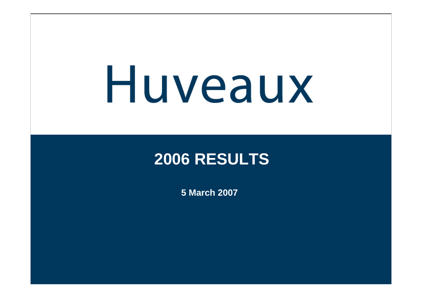# Huveaux

### **2006 RESULTS**

**5 March 2007**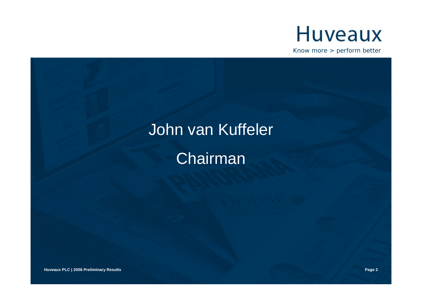

Know more > perform better

### John van Kuffeler

Chairman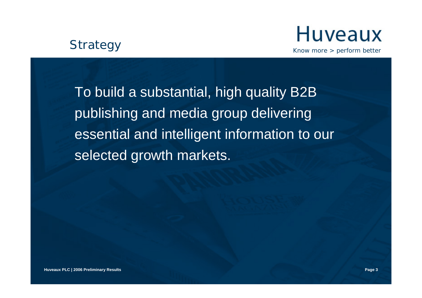#### **Strategy**



Know more > perform better

To build a substantial, high quality B2B publishing and media group delivering essential and intelligent information to our selected growth markets.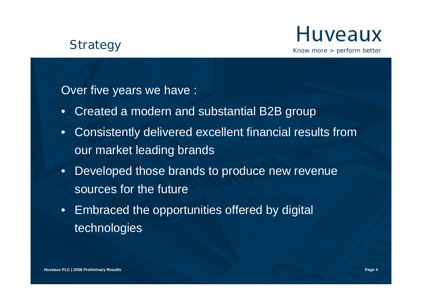#### **Strategy**

### **Huveaux**

Know more > perform better

Over five years we have :

- Created a modern and substantial B2B group
- • Consistently delivered excellent financial results from our market leading brands
- • Developed those brands to produce new revenue sources for the future
- Embraced the opportunities offered by digital technologies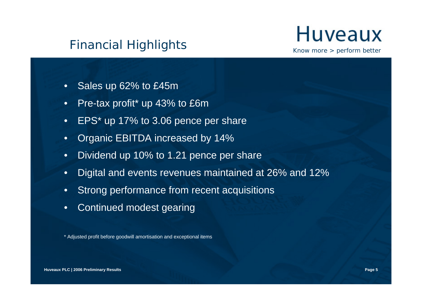#### Financial Highlights



Know more > perform better

- •Sales up 62% to £45m
- •Pre-tax profit\* up 43% to £6m
- •EPS\* up 17% to 3.06 pence per share
- •Organic EBITDA increased by 14%
- •Dividend up 10% to 1.21 pence per share
- •Digital and events revenues maintained at 26% and 12%
- •Strong performance from recent acquisitions
- •Continued modest gearing

\* Adjusted profit before goodwill amortisation and exceptional items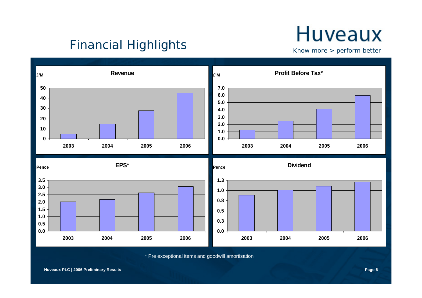### **Huveaux**

Financial Highlights

Know more > perform better



\* Pre exceptional items and goodwill amortisation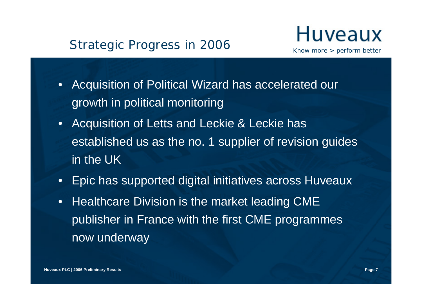#### Strategic Progress in 2006



- • Acquisition of Political Wizard has accelerated our growth in political monitoring
- • Acquisition of Letts and Leckie & Leckie has established us as the no. 1 supplier of revision guides in the UK
- Epic has supported digital initiatives across Huveaux
- • Healthcare Division is the market leading CME publisher in France with the first CME programmes now underway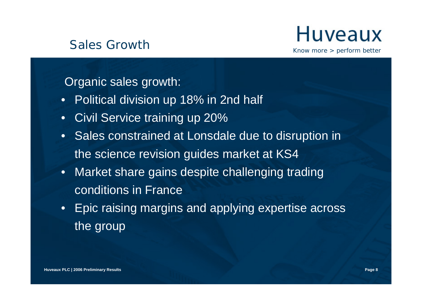#### Sales Growth



Know more > perform better

Organic sales growth:

- Political division up 18% in 2nd half
- Civil Service training up 20%
- Sales constrained at Lonsdale due to disruption in the science revision guides market at KS4
- Market share gains despite challenging trading conditions in France
- Epic raising margins and applying expertise across the group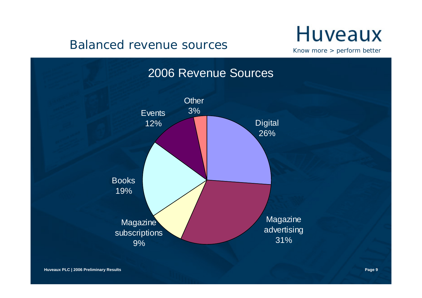#### Balanced revenue sources

### **Huveaux**

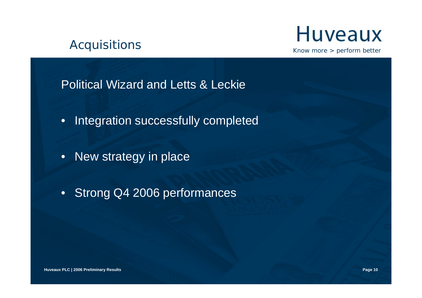#### Acquisitions



Know more > perform better

Political Wizard and Letts & Leckie

- Integration successfully completed
- New strategy in place
- Strong Q4 2006 performances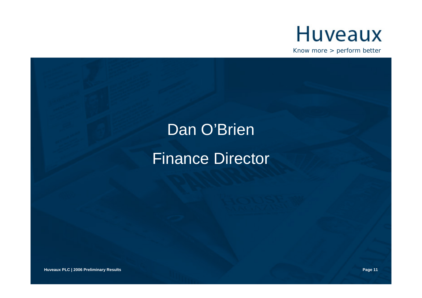

Know more > perform better

### Dan O'Brien Finance Director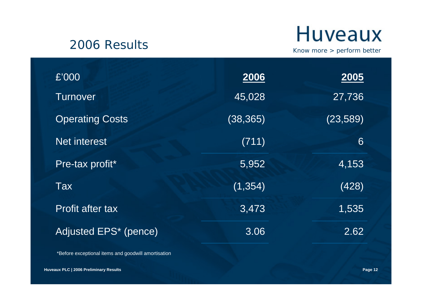#### 2006 Results

### **Huveaux**

Know more > perform better

| £'000                   | 2006      | <b>2005</b> |
|-------------------------|-----------|-------------|
| <b>Turnover</b>         | 45,028    | 27,736      |
| <b>Operating Costs</b>  | (38, 365) | (23, 589)   |
| Net interest            | (711)     | 6           |
| Pre-tax profit*         | 5,952     | 4,153       |
| Tax                     | (1, 354)  | (428)       |
| <b>Profit after tax</b> | 3,473     | 1,535       |
| Adjusted EPS* (pence)   | 3.06      | 2.62        |
|                         |           |             |

\*Before exceptional items and goodwill amortisation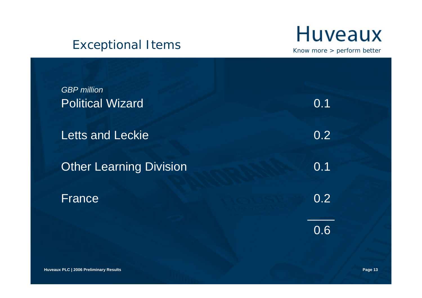#### Exceptional Items

### **Huveaux**

| <b>GBP</b> million<br><b>Political Wizard</b> | 0.1 |
|-----------------------------------------------|-----|
| <b>Letts and Leckie</b>                       | 0.2 |
| <b>Other Learning Division</b>                | 0.1 |
| France                                        | 0.2 |
|                                               | 0.6 |
|                                               |     |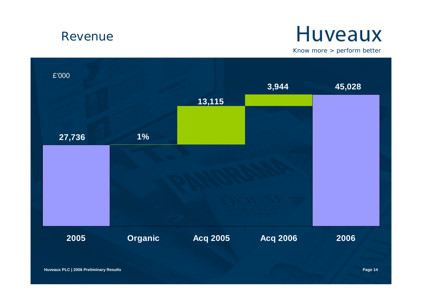#### Revenue

### **Huveaux**

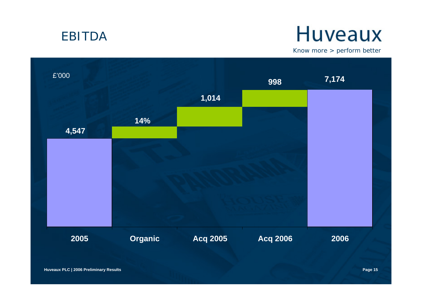#### EBITDA

### **Huveaux**

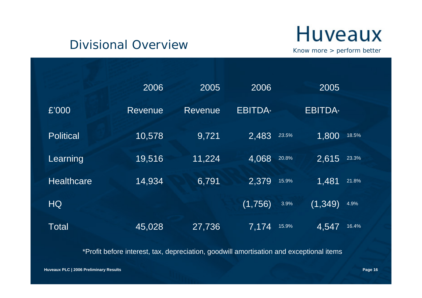#### Divisional Overview

**Huveaux** 

Know more > perform better

|                   | 2006           | 2005    | 2006               | 2005             |       |
|-------------------|----------------|---------|--------------------|------------------|-------|
| £'000             | <b>Revenue</b> | Revenue | <b>EBITDA</b>      | <b>EBITDA</b>    |       |
| <b>Political</b>  | 10,578         | 9,721   | 2,483              | 1,800<br>23.5%   | 18.5% |
| Learning          | 19,516         | 11,224  | 4,068              | 2,615<br>20.8%   | 23.3% |
| <b>Healthcare</b> | 14,934         | 6,791   | 2,379              | 1,481<br>15.9%   | 21.8% |
| <b>HQ</b>         |                |         | (1,756)            | (1, 349)<br>3.9% | 4.9%  |
| <b>Total</b>      | 45,028         | 27,736  | $\overline{7,174}$ | 4,547<br>15.9%   | 16.4% |

\*Profit before interest, tax, depreciation, goodwill amortisation and exceptional items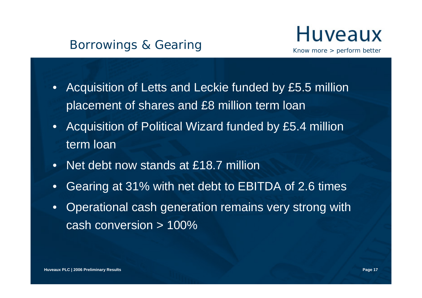#### Borrowings & Gearing



- • Acquisition of Letts and Leckie funded by £5.5 million placement of shares and £8 million term loan
- $\bullet$  Acquisition of Political Wizard funded by £5.4 million term loan
- Net debt now stands at £18.7 million
- •Gearing at 31% with net debt to EBITDA of 2.6 times
- • Operational cash generation remains very strong with cash conversion > 100%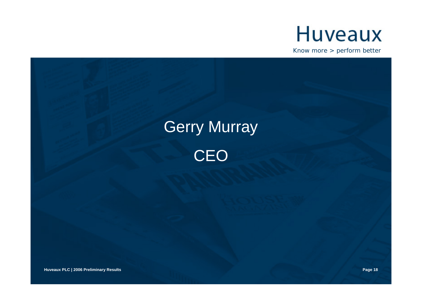

Know more > perform better

### Gerry Murray **CEO**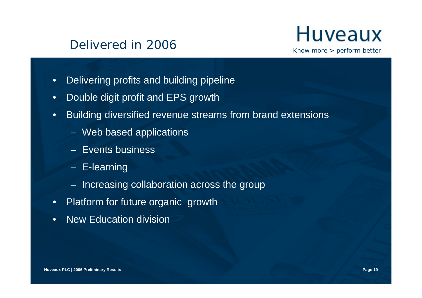#### Delivered in 2006



- •Delivering profits and building pipeline
- •Double digit profit and EPS growth
- • Building diversified revenue streams from brand extensions
	- Web based applications
	- Events business
	- E-learning
	- Increasing collaboration across the group
- Platform for future organic growth
- •New Education division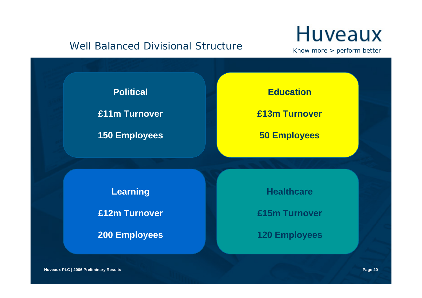#### Well Balanced Divisional Structure

### **Huveaux**

Know more > perform better



**Huveaux PLC | 2006 Preliminary Results Page 20**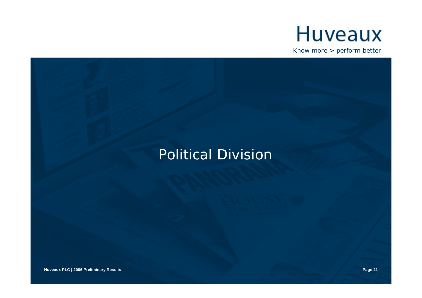

Know more > perform better

### Political Division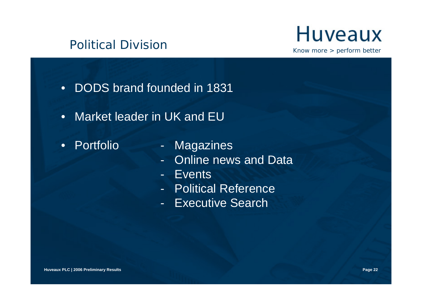#### Political Division



- DODS brand founded in 1831
- Market leader in UK and EU
- Portfolio
- Magazines
- Online news and Data
- Events
- Political Reference
- Executive Search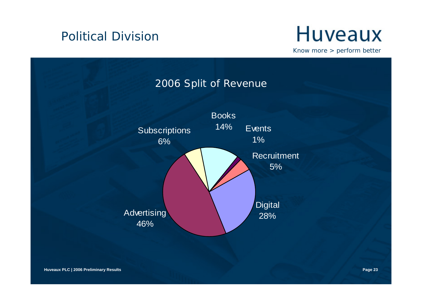#### Political Division

### **Huveaux**

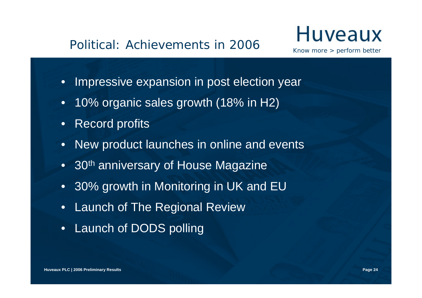#### Political: Achievements in 2006

### Huveaux

- Impressive expansion in post election year
- •10% organic sales growth (18% in H2)
- •Record profits
- •New product launches in online and events
- $\bullet~$  30<sup>th</sup> anniversary of House Magazine
- 30% growth in Monitoring in UK and EU
- Launch of The Regional Review
- Launch of DODS polling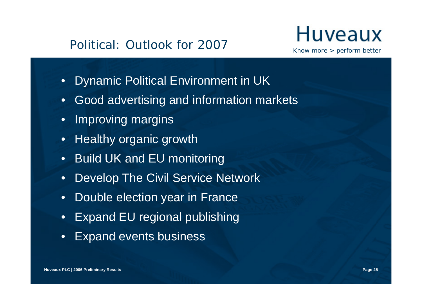#### Political: Outlook for 2007

### Huveaux

- $\bullet$ Dynamic Political Environment in UK
- •Good advertising and information markets
- •Improving margins
- Healthy organic growth
- •Build UK and EU monitoring
- $\bullet$ Develop The Civil Service Network
- $\bullet$ Double election year in France
- Expand EU regional publishing
- •Expand events business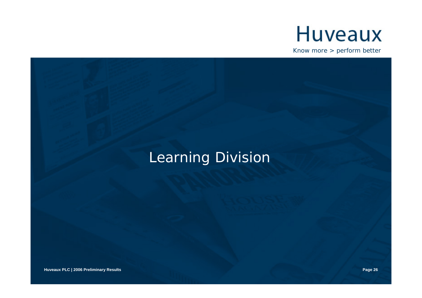

Know more > perform better

### Learning Division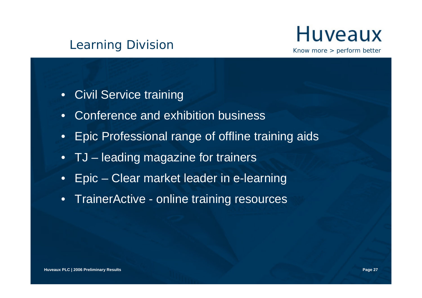#### Learning Division



- Civil Service training
- •Conference and exhibition business
- Epic Professional range of offline training aids
- TJ leading magazine for trainers
- Epic Clear market leader in e-learning
- TrainerActive online training resources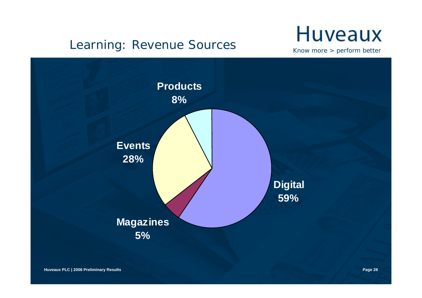#### Learning: Revenue Sources

### **Huveaux**

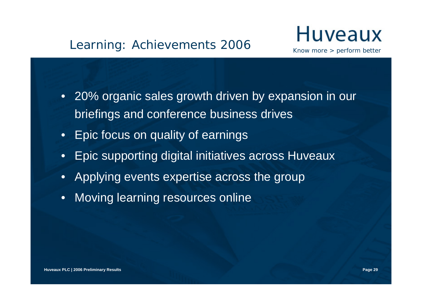#### Learning: Achievements 2006



- 20% organic sales growth driven by expansion in our briefings and conference business drives
- Epic focus on quality of earnings
- Epic supporting digital initiatives across Huveaux
- Applying events expertise across the group
- $\bullet$ Moving learning resources online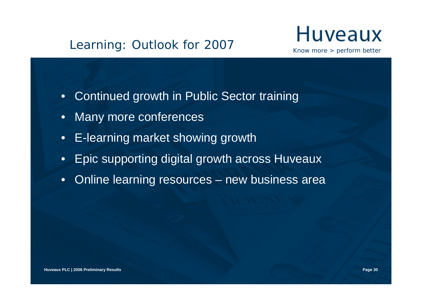#### Learning: Outlook for 2007



- $\bullet$ Continued growth in Public Sector training
- •Many more conferences
- E-learning market showing growth
- •Epic supporting digital growth across Huveaux
- •Online learning resources – new business area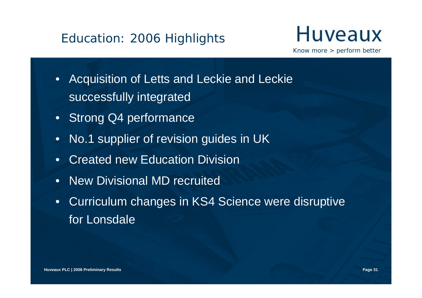#### Education: 2006 Highlights



- • Acquisition of Letts and Leckie and Leckie successfully integrated
- Strong Q4 performance
- •No.1 supplier of revision guides in UK
- •Created new Education Division
- •New Divisional MD recruited
- $\bullet$  Curriculum changes in KS4 Science were disruptive for Lonsdale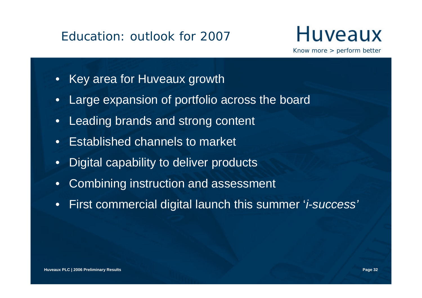#### Education: outlook for 2007



- Key area for Huveaux growth
- •Large expansion of portfolio across the board
- •Leading brands and strong content
- •Established channels to market
- •Digital capability to deliver products
- •Combining instruction and assessment
- •First commercial digital launch this summer '*i-success'*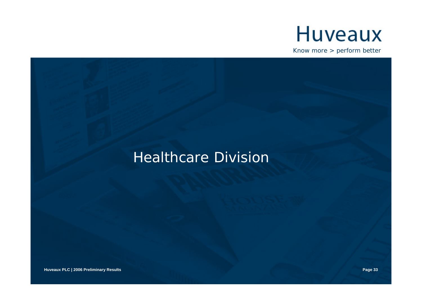

Know more > perform better

### Healthcare Division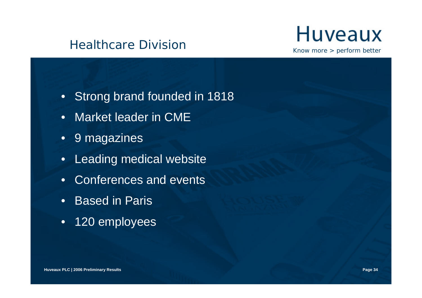#### Healthcare Division

### **Huveaux**

- Strong brand founded in 1818
- Market leader in CME
- 9 magazines
- •Leading medical website
- Conferences and events
- Based in Paris
- 120 employees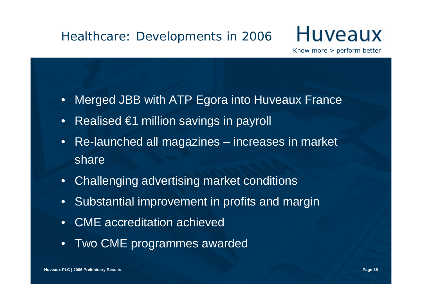#### Healthcare: Developments in 2006

### Huveaux

- •Merged JBB with ATP Egora into Huveaux France
- Realised €1 million savings in payroll
- Re-launched all magazines increases in market share
- Challenging advertising market conditions
- Substantial improvement in profits and margin
- CME accreditation achieved
- •Two CME programmes awarded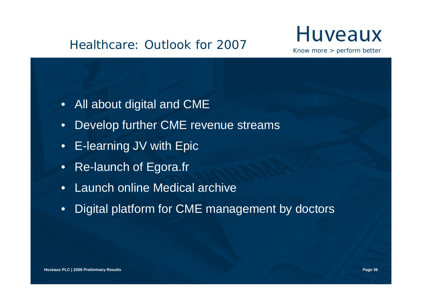#### Healthcare: Outlook for 2007

### Huveaux

- All about digital and CME
- •Develop further CME revenue streams
- E-learning JV with Epic
- •Re-launch of Egora.fr
- Launch online Medical archive
- •Digital platform for CME management by doctors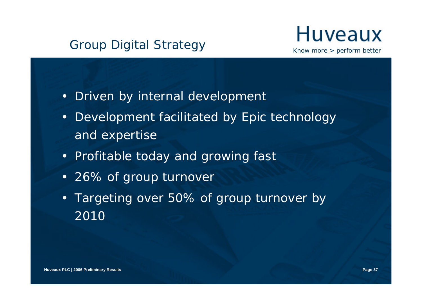#### Group Digital Strategy



- Driven by internal development
- Development facilitated by Epic technology and expertise
- Profitable today and growing fast
- 26% of group turnover
- Targeting over 50% of group turnover by 2010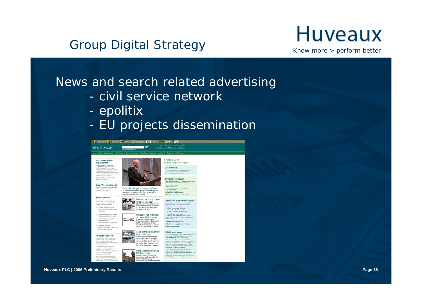## Group Digital Strategy<br>
Know more > perform better

#### News and search related advertising

- civil service network
- epolitix
- -EU projects dissemination

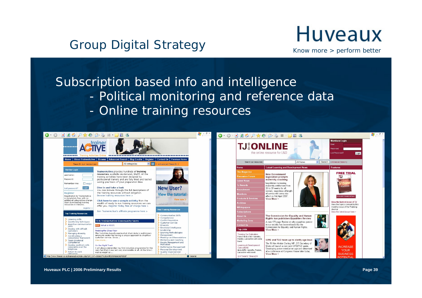### Group Digital Strategy **Huveaux**

#### Subscription based info and intelligence

- -Political monitoring and reference data
	- -Online training resources

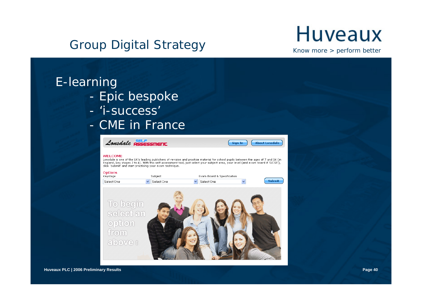## Group Digital Strategy<br>
Know more > perform better

#### E-learning

- -Epic bespoke
- '*i-success'*
- CME in France





**Huveaux PLC | 2006 Preliminary Results Page 40**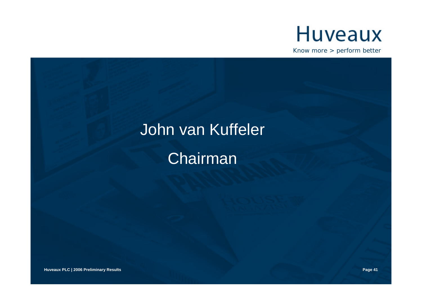

Know more > perform better

## John van Kuffeler

Chairman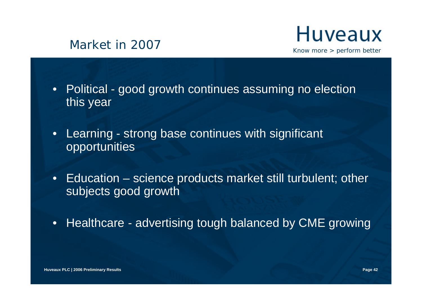#### Market in 2007



- Political good growth continues assuming no election this year
- Learning strong base continues with significant opportunities
- Education science products market still turbulent; other subjects good growth
- Healthcare advertising tough balanced by CME growing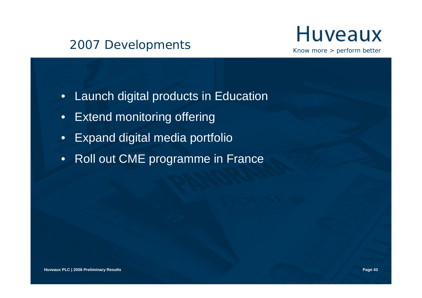#### 2007 Developments



- •Launch digital products in Education
- •Extend monitoring offering
- $\bullet$ Expand digital media portfolio
- Roll out CME programme in France